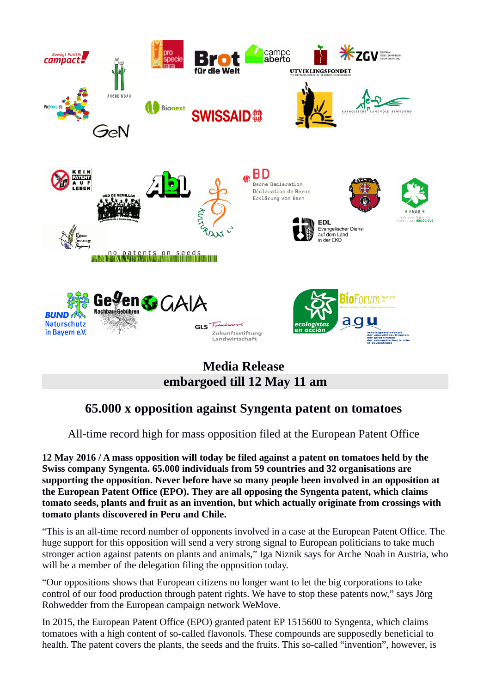

## **Media Release embargoed till 12 May 11 am**

## **65.000 x opposition against Syngenta patent on tomatoes**

All-time record high for mass opposition filed at the European Patent Office

**12 May 2016 / A mass opposition will today be filed against a patent on tomatoes held by the Swiss company Syngenta. 65.000 individuals from 59 countries and 32 organisations are supporting the opposition. Never before have so many people been involved in an opposition at the European Patent Office (EPO). They are all opposing the Syngenta patent, which claims tomato seeds, plants and fruit as an invention, but which actually originate from crossings with tomato plants discovered in Peru and Chile.** 

"This is an all-time record number of opponents involved in a case at the European Patent Office. The huge support for this opposition will send a very strong signal to European politicians to take much stronger action against patents on plants and animals," Iga Niznik says for Arche Noah in Austria, who will be a member of the delegation filing the opposition today.

"Our oppositions shows that European citizens no longer want to let the big corporations to take control of our food production through patent rights. We have to stop these patents now," says Jörg Rohwedder from the European campaign network WeMove.

In 2015, the European Patent Office (EPO) granted patent EP 1515600 to Syngenta, which claims tomatoes with a high content of so-called flavonols. These compounds are supposedly beneficial to health. The patent covers the plants, the seeds and the fruits. This so-called "invention", however, is